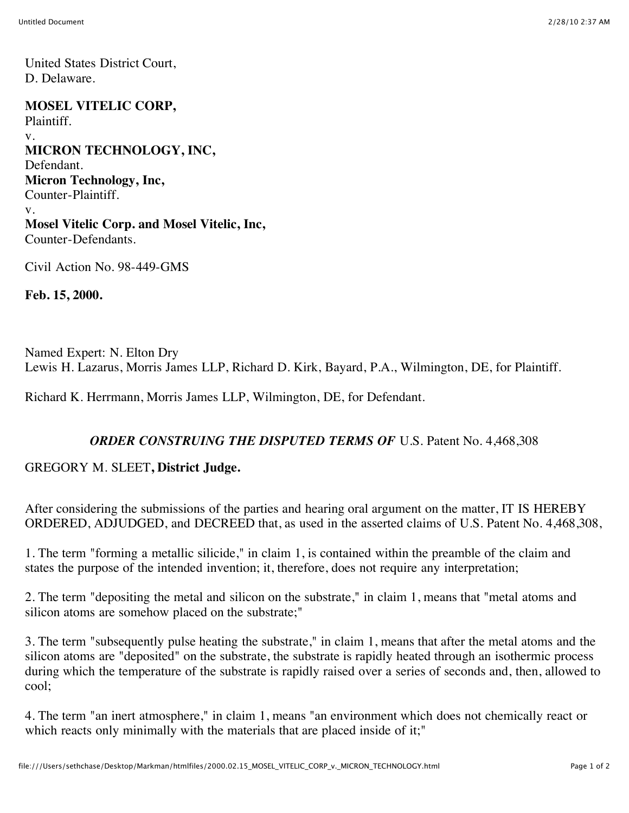United States District Court, D. Delaware.

**MOSEL VITELIC CORP,** Plaintiff. v. **MICRON TECHNOLOGY, INC,** Defendant. **Micron Technology, Inc,** Counter-Plaintiff. v. **Mosel Vitelic Corp. and Mosel Vitelic, Inc,** Counter-Defendants.

Civil Action No. 98-449-GMS

**Feb. 15, 2000.**

Named Expert: N. Elton Dry Lewis H. Lazarus, Morris James LLP, Richard D. Kirk, Bayard, P.A., Wilmington, DE, for Plaintiff.

Richard K. Herrmann, Morris James LLP, Wilmington, DE, for Defendant.

## *ORDER CONSTRUING THE DISPUTED TERMS OF* U.S. Patent No. 4,468,308

## GREGORY M. SLEET**, District Judge.**

After considering the submissions of the parties and hearing oral argument on the matter, IT IS HEREBY ORDERED, ADJUDGED, and DECREED that, as used in the asserted claims of U.S. Patent No. 4,468,308,

1. The term "forming a metallic silicide," in claim 1, is contained within the preamble of the claim and states the purpose of the intended invention; it, therefore, does not require any interpretation;

2. The term "depositing the metal and silicon on the substrate," in claim 1, means that "metal atoms and silicon atoms are somehow placed on the substrate;"

3. The term "subsequently pulse heating the substrate," in claim 1, means that after the metal atoms and the silicon atoms are "deposited" on the substrate, the substrate is rapidly heated through an isothermic process during which the temperature of the substrate is rapidly raised over a series of seconds and, then, allowed to cool;

4. The term "an inert atmosphere," in claim 1, means "an environment which does not chemically react or which reacts only minimally with the materials that are placed inside of it;"